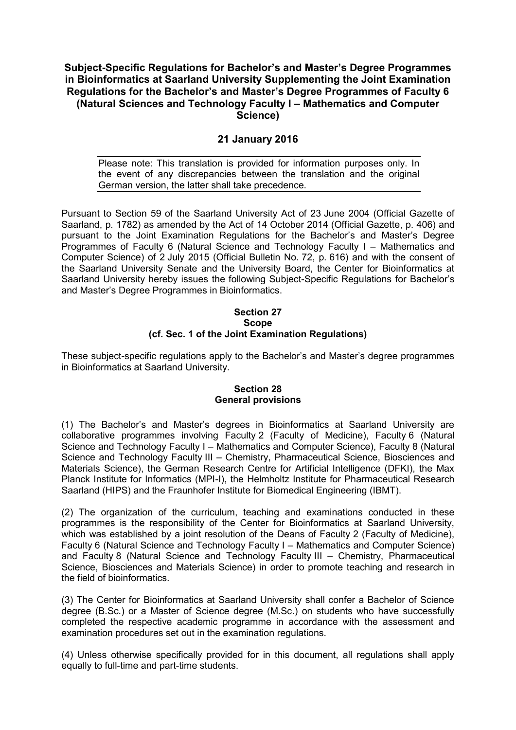# **Subject-Specific Regulations for Bachelor's and Master's Degree Programmes in Bioinformatics at Saarland University Supplementing the Joint Examination Regulations for the Bachelor's and Master's Degree Programmes of Faculty 6 (Natural Sciences and Technology Faculty I – Mathematics and Computer Science)**

# **21 January 2016**

Please note: This translation is provided for information purposes only. In the event of any discrepancies between the translation and the original German version, the latter shall take precedence.

Pursuant to Section 59 of the Saarland University Act of 23 June 2004 (Official Gazette of Saarland, p. 1782) as amended by the Act of 14 October 2014 (Official Gazette, p. 406) and pursuant to the Joint Examination Regulations for the Bachelor's and Master's Degree Programmes of Faculty 6 (Natural Science and Technology Faculty I – Mathematics and Computer Science) of 2 July 2015 (Official Bulletin No. 72, p. 616) and with the consent of the Saarland University Senate and the University Board, the Center for Bioinformatics at Saarland University hereby issues the following Subject-Specific Regulations for Bachelor's and Master's Degree Programmes in Bioinformatics.

## **Section 27 Scope (cf. Sec. 1 of the Joint Examination Regulations)**

These subject-specific regulations apply to the Bachelor's and Master's degree programmes in Bioinformatics at Saarland University.

#### **Section 28 General provisions**

(1) The Bachelor's and Master's degrees in Bioinformatics at Saarland University are collaborative programmes involving Faculty 2 (Faculty of Medicine), Faculty 6 (Natural Science and Technology Faculty I – Mathematics and Computer Science), Faculty 8 (Natural Science and Technology Faculty III – Chemistry, Pharmaceutical Science, Biosciences and Materials Science), the German Research Centre for Artificial Intelligence (DFKI), the Max Planck Institute for Informatics (MPI-I), the Helmholtz Institute for Pharmaceutical Research Saarland (HIPS) and the Fraunhofer Institute for Biomedical Engineering (IBMT).

(2) The organization of the curriculum, teaching and examinations conducted in these programmes is the responsibility of the Center for Bioinformatics at Saarland University, which was established by a joint resolution of the Deans of Faculty 2 (Faculty of Medicine), Faculty 6 (Natural Science and Technology Faculty I – Mathematics and Computer Science) and Faculty 8 (Natural Science and Technology Faculty III – Chemistry, Pharmaceutical Science, Biosciences and Materials Science) in order to promote teaching and research in the field of bioinformatics.

(3) The Center for Bioinformatics at Saarland University shall confer a Bachelor of Science degree (B.Sc.) or a Master of Science degree (M.Sc.) on students who have successfully completed the respective academic programme in accordance with the assessment and examination procedures set out in the examination regulations.

(4) Unless otherwise specifically provided for in this document, all regulations shall apply equally to full-time and part-time students.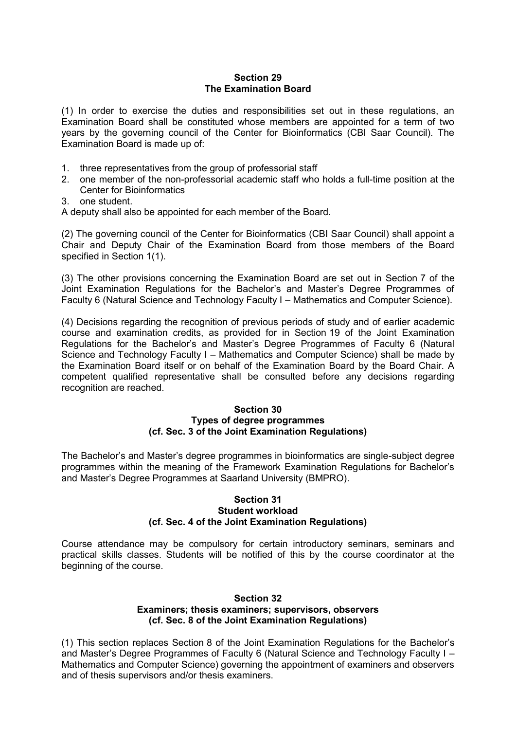# **Section 29 The Examination Board**

(1) In order to exercise the duties and responsibilities set out in these regulations, an Examination Board shall be constituted whose members are appointed for a term of two years by the governing council of the Center for Bioinformatics (CBI Saar Council). The Examination Board is made up of:

- 1. three representatives from the group of professorial staff
- 2. one member of the non-professorial academic staff who holds a full-time position at the Center for Bioinformatics
- 3. one student.

A deputy shall also be appointed for each member of the Board.

(2) The governing council of the Center for Bioinformatics (CBI Saar Council) shall appoint a Chair and Deputy Chair of the Examination Board from those members of the Board specified in Section 1(1).

(3) The other provisions concerning the Examination Board are set out in Section 7 of the Joint Examination Regulations for the Bachelor's and Master's Degree Programmes of Faculty 6 (Natural Science and Technology Faculty I – Mathematics and Computer Science).

(4) Decisions regarding the recognition of previous periods of study and of earlier academic course and examination credits, as provided for in Section 19 of the Joint Examination Regulations for the Bachelor's and Master's Degree Programmes of Faculty 6 (Natural Science and Technology Faculty I – Mathematics and Computer Science) shall be made by the Examination Board itself or on behalf of the Examination Board by the Board Chair. A competent qualified representative shall be consulted before any decisions regarding recognition are reached.

#### **Section 30 Types of degree programmes (cf. Sec. 3 of the Joint Examination Regulations)**

The Bachelor's and Master's degree programmes in bioinformatics are single-subject degree programmes within the meaning of the Framework Examination Regulations for Bachelor's and Master's Degree Programmes at Saarland University (BMPRO).

#### **Section 31 Student workload (cf. Sec. 4 of the Joint Examination Regulations)**

Course attendance may be compulsory for certain introductory seminars, seminars and practical skills classes. Students will be notified of this by the course coordinator at the beginning of the course.

# **Section 32 Examiners; thesis examiners; supervisors, observers (cf. Sec. 8 of the Joint Examination Regulations)**

(1) This section replaces Section 8 of the Joint Examination Regulations for the Bachelor's and Master's Degree Programmes of Faculty 6 (Natural Science and Technology Faculty I – Mathematics and Computer Science) governing the appointment of examiners and observers and of thesis supervisors and/or thesis examiners.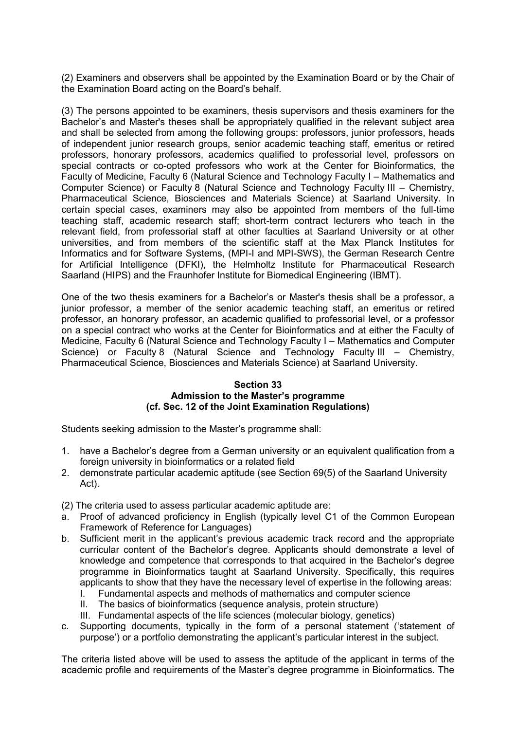(2) Examiners and observers shall be appointed by the Examination Board or by the Chair of the Examination Board acting on the Board's behalf.

(3) The persons appointed to be examiners, thesis supervisors and thesis examiners for the Bachelor's and Master's theses shall be appropriately qualified in the relevant subject area and shall be selected from among the following groups: professors, junior professors, heads of independent junior research groups, senior academic teaching staff, emeritus or retired professors, honorary professors, academics qualified to professorial level, professors on special contracts or co-opted professors who work at the Center for Bioinformatics, the Faculty of Medicine, Faculty 6 (Natural Science and Technology Faculty I – Mathematics and Computer Science) or Faculty 8 (Natural Science and Technology Faculty III – Chemistry, Pharmaceutical Science, Biosciences and Materials Science) at Saarland University. In certain special cases, examiners may also be appointed from members of the full-time teaching staff, academic research staff; short-term contract lecturers who teach in the relevant field, from professorial staff at other faculties at Saarland University or at other universities, and from members of the scientific staff at the Max Planck Institutes for Informatics and for Software Systems, (MPI-I and MPI-SWS), the German Research Centre for Artificial Intelligence (DFKI), the Helmholtz Institute for Pharmaceutical Research Saarland (HIPS) and the Fraunhofer Institute for Biomedical Engineering (IBMT).

One of the two thesis examiners for a Bachelor's or Master's thesis shall be a professor, a junior professor, a member of the senior academic teaching staff, an emeritus or retired professor, an honorary professor, an academic qualified to professorial level, or a professor on a special contract who works at the Center for Bioinformatics and at either the Faculty of Medicine, Faculty 6 (Natural Science and Technology Faculty I – Mathematics and Computer Science) or Faculty 8 (Natural Science and Technology Faculty III – Chemistry, Pharmaceutical Science, Biosciences and Materials Science) at Saarland University.

#### **Section 33 Admission to the Master's programme (cf. Sec. 12 of the Joint Examination Regulations)**

Students seeking admission to the Master's programme shall:

- 1. have a Bachelor's degree from a German university or an equivalent qualification from a foreign university in bioinformatics or a related field
- 2. demonstrate particular academic aptitude (see Section 69(5) of the Saarland University Act).

(2) The criteria used to assess particular academic aptitude are:

- a. Proof of advanced proficiency in English (typically level C1 of the Common European Framework of Reference for Languages)
- b. Sufficient merit in the applicant's previous academic track record and the appropriate curricular content of the Bachelor's degree. Applicants should demonstrate a level of knowledge and competence that corresponds to that acquired in the Bachelor's degree programme in Bioinformatics taught at Saarland University. Specifically, this requires applicants to show that they have the necessary level of expertise in the following areas:
	- I. Fundamental aspects and methods of mathematics and computer science
	- II. The basics of bioinformatics (sequence analysis, protein structure)
	- III. Fundamental aspects of the life sciences (molecular biology, genetics)
- c. Supporting documents, typically in the form of a personal statement ('statement of purpose') or a portfolio demonstrating the applicant's particular interest in the subject.

The criteria listed above will be used to assess the aptitude of the applicant in terms of the academic profile and requirements of the Master's degree programme in Bioinformatics. The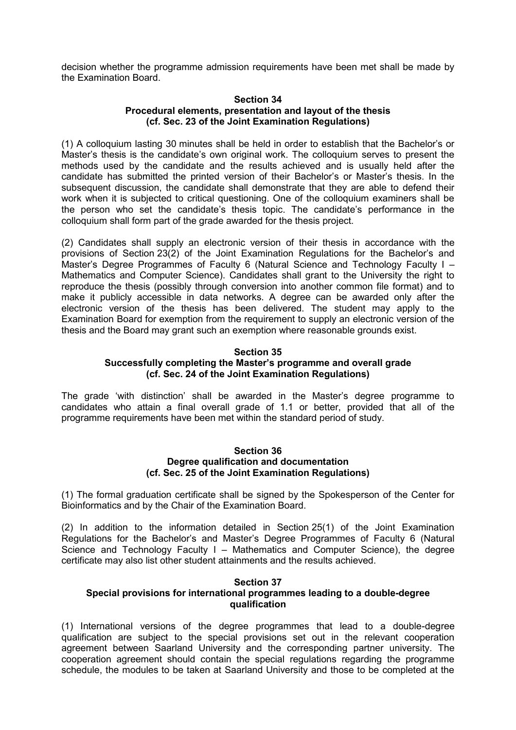decision whether the programme admission requirements have been met shall be made by the Examination Board.

#### **Section 34 Procedural elements, presentation and layout of the thesis (cf. Sec. 23 of the Joint Examination Regulations)**

(1) A colloquium lasting 30 minutes shall be held in order to establish that the Bachelor's or Master's thesis is the candidate's own original work. The colloquium serves to present the methods used by the candidate and the results achieved and is usually held after the candidate has submitted the printed version of their Bachelor's or Master's thesis. In the subsequent discussion, the candidate shall demonstrate that they are able to defend their work when it is subjected to critical questioning. One of the colloquium examiners shall be the person who set the candidate's thesis topic. The candidate's performance in the colloquium shall form part of the grade awarded for the thesis project.

(2) Candidates shall supply an electronic version of their thesis in accordance with the provisions of Section 23(2) of the Joint Examination Regulations for the Bachelor's and Master's Degree Programmes of Faculty 6 (Natural Science and Technology Faculty I – Mathematics and Computer Science). Candidates shall grant to the University the right to reproduce the thesis (possibly through conversion into another common file format) and to make it publicly accessible in data networks. A degree can be awarded only after the electronic version of the thesis has been delivered. The student may apply to the Examination Board for exemption from the requirement to supply an electronic version of the thesis and the Board may grant such an exemption where reasonable grounds exist.

## **Section 35 Successfully completing the Master's programme and overall grade (cf. Sec. 24 of the Joint Examination Regulations)**

The grade 'with distinction' shall be awarded in the Master's degree programme to candidates who attain a final overall grade of 1.1 or better, provided that all of the programme requirements have been met within the standard period of study.

## **Section 36 Degree qualification and documentation (cf. Sec. 25 of the Joint Examination Regulations)**

(1) The formal graduation certificate shall be signed by the Spokesperson of the Center for Bioinformatics and by the Chair of the Examination Board.

(2) In addition to the information detailed in Section 25(1) of the Joint Examination Regulations for the Bachelor's and Master's Degree Programmes of Faculty 6 (Natural Science and Technology Faculty I – Mathematics and Computer Science), the degree certificate may also list other student attainments and the results achieved.

# **Section 37**

## **Special provisions for international programmes leading to a double-degree qualification**

(1) International versions of the degree programmes that lead to a double-degree qualification are subject to the special provisions set out in the relevant cooperation agreement between Saarland University and the corresponding partner university. The cooperation agreement should contain the special regulations regarding the programme schedule, the modules to be taken at Saarland University and those to be completed at the